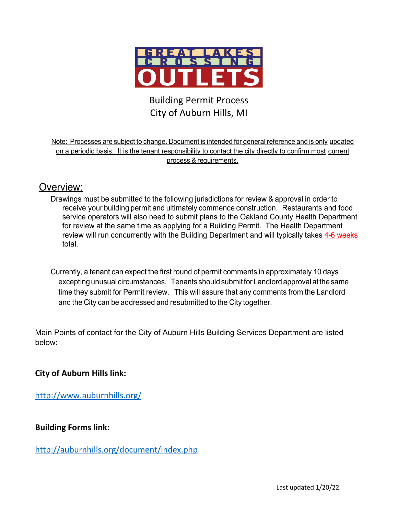

# Building Permit Process City of Auburn Hills, MI

Note: Processes are subject to change. Document is intended for general reference and is only updated on a periodic basis. It is the tenant responsibility to contact the city directly to confirm most current process & requirements.

## Overview:

Drawings must be submitted to the following jurisdictions for review & approval in order to receive your building permit and ultimately commence construction. Restaurants and food service operators will also need to submit plans to the Oakland County Health Department for review at the same time as applying for a Building Permit. The Health Department review will run concurrently with the Building Department and will typically takes 4-6 weeks total.

Currently, a tenant can expect the first round of permit comments in approximately 10 days excepting unusual circumstances. Tenants should submit for Landlord approval at the same time they submit for Permit review. This will assure that any comments from the Landlord and the City can be addressed and resubmitted to the City together.

Main Points of contact for the City of Auburn Hills Building Services Department are listed below:

## **City of Auburn Hills link:**

<http://www.auburnhills.org/>

## **Building Forms link:**

<http://auburnhills.org/document/index.php>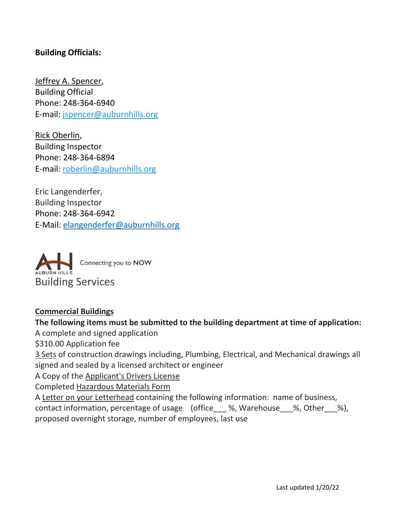## **Building Officials:**

Jeffrey A. Spencer, Building Official Phone: 248-364-6940 E-mail: [jspencer@auburnhills.org](mailto:jspencer@auburnhills.org)

Rick Oberlin, Building Inspector Phone: 248-364-6894 E-mail: [roberlin@auburnhills.org](mailto:roberlin@auburnhills.org)

Eric Langenderfer, Building Inspector Phone: 248-364-6942 E-Mail: [elangenderfer@auburnhills.org](mailto:elangenderfer@auburnhills.org)



#### **Commercial Buildings**

#### **The following items must be submitted to the building department at time of application:**

A complete and signed application

\$310.00 Application fee

3 Sets of construction drawings including, Plumbing, Electrical, and Mechanical drawings all signed and sealed by a licensed architect or engineer

A Copy of the Applicant's Drivers License

Completed Hazardous Materials Form

A Letter on your Letterhead containing the following information: name of business,

contact information, percentage of usage (office \_\_\_ %, Warehouse \_\_ %, Other \_\_ %), proposed overnight storage, number of employees, last use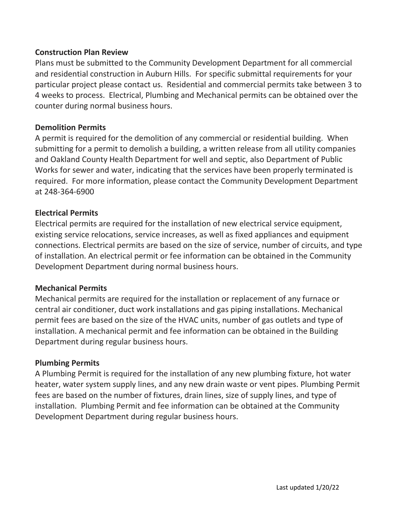#### **Construction Plan Review**

Plans must be submitted to the Community Development Department for all commercial and residential construction in Auburn Hills. For specific submittal requirements for your particular project please contact us. Residential and commercial permits take between 3 to 4 weeks to process. Electrical, Plumbing and Mechanical permits can be obtained over the counter during normal business hours.

#### **Demolition Permits**

A permit is required for the demolition of any commercial or residential building. When submitting for a permit to demolish a building, a written release from all utility companies and Oakland County Health Department for well and septic, also Department of Public Works for sewer and water, indicating that the services have been properly terminated is required. For more information, please contact the Community Development Department at 248-364-6900

#### **Electrical Permits**

Electrical permits are required for the installation of new electrical service equipment, existing service relocations, service increases, as well as fixed appliances and equipment connections. Electrical permits are based on the size of service, number of circuits, and type of installation. An electrical permit or fee information can be obtained in the Community Development Department during normal business hours.

#### **Mechanical Permits**

Mechanical permits are required for the installation or replacement of any furnace or central air conditioner, duct work installations and gas piping installations. Mechanical permit fees are based on the size of the HVAC units, number of gas outlets and type of installation. A mechanical permit and fee information can be obtained in the Building Department during regular business hours.

#### **Plumbing Permits**

A Plumbing Permit is required for the installation of any new plumbing fixture, hot water heater, water system supply lines, and any new drain waste or vent pipes. Plumbing Permit fees are based on the number of fixtures, drain lines, size of supply lines, and type of installation. Plumbing Permit and fee information can be obtained at the Community Development Department during regular business hours.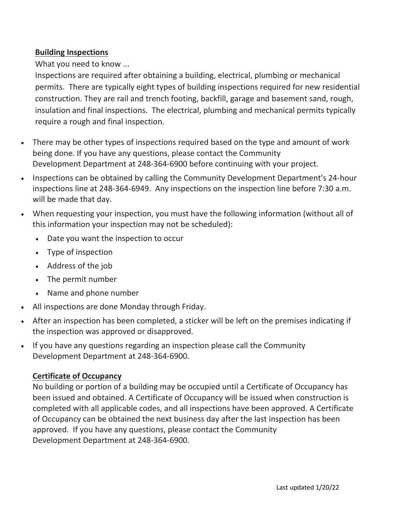## **Building Inspections**

What you need to know ...

Inspections are required after obtaining a building, electrical, plumbing or mechanical permits. There are typically eight types of building inspections required for new residential construction. They are rail and trench footing, backfill, garage and basement sand, rough, insulation and final inspections. The electrical, plumbing and mechanical permits typically require a rough and final inspection.

- There may be other types of inspections required based on the type and amount of work being done. If you have any questions, please contact the Community Development Department at 248-364-6900 before continuing with your project.
- Inspections can be obtained by calling the Community Development Department's 24-hour inspections line at 248-364-6949. Any inspections on the inspection line before 7:30 a.m. will be made that day.
- When requesting your inspection, you must have the following information (without all of this information your inspection may not be scheduled):
	- Date you want the inspection to occur
	- Type of inspection
	- Address of the job
	- The permit number
	- Name and phone number
- All inspections are done Monday through Friday.
- After an inspection has been completed, a sticker will be left on the premises indicating if the inspection was approved or disapproved.
- If you have any questions regarding an inspection please call the Community Development Department at 248-364-6900.

## **Certificate of Occupancy**

No building or portion of a building may be occupied until a Certificate of Occupancy has been issued and obtained. A Certificate of Occupancy will be issued when construction is completed with all applicable codes, and all inspections have been approved. A Certificate of Occupancy can be obtained the next business day after the last inspection has been approved. If you have any questions, please contact the Community Development Department at 248-364-6900.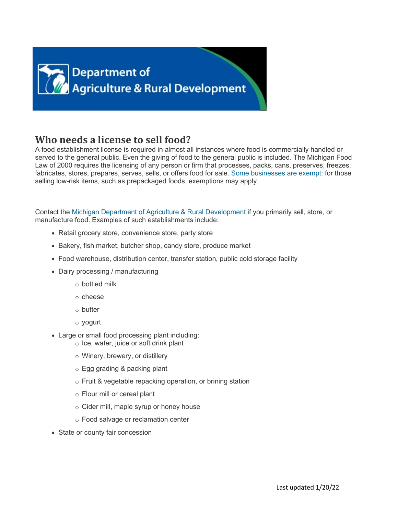

# **Who needs a license to sell food?**

A food establishment license is required in almost all instances where food is commercially handled or served to the general public. Even the giving of food to the general public is included. The Michigan Food Law of 2000 requires the licensing of any person or firm that processes, packs, cans, preserves, freezes, fabricates, stores, prepares, serves, sells, or offers food for sale[. Some businesses are exempt:](https://www.michigan.gov/mdard/0,4610,7-125-1569_16958_16974-11877--,00.html) for those selling low-risk items, such as prepackaged foods, exemptions may apply.

Contact the [Michigan Department of Agriculture & Rural Development](https://www.michigan.gov/mdard/0,4610,7-125-2762---,00.html) if you primarily sell, store, or manufacture food. Examples of such establishments include:

- Retail grocery store, convenience store, party store
- Bakery, fish market, butcher shop, candy store, produce market
- Food warehouse, distribution center, transfer station, public cold storage facility
- Dairy processing / manufacturing
	- o bottled milk
	- o cheese
	- o butter
	- o yogurt
- Large or small food processing plant including:
	- o Ice, water, juice or soft drink plant
	- o Winery, brewery, or distillery
	- o Egg grading & packing plant
	- o Fruit & vegetable repacking operation, or brining station
	- o Flour mill or cereal plant
	- o Cider mill, maple syrup or honey house
	- o Food salvage or reclamation center
- State or county fair concession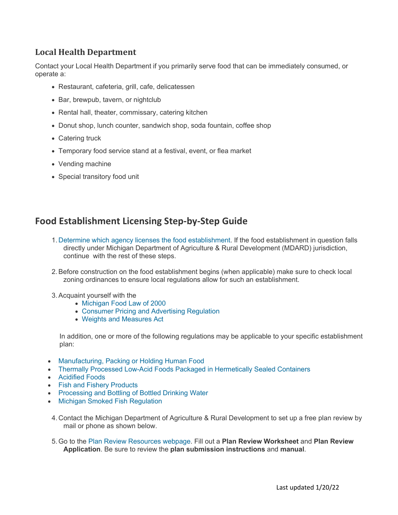## **Local Health Department**

Contact your Local Health Department if you primarily serve food that can be immediately consumed, or operate a:

- Restaurant, cafeteria, grill, cafe, delicatessen
- Bar, brewpub, tavern, or nightclub
- Rental hall, theater, commissary, catering kitchen
- Donut shop, lunch counter, sandwich shop, soda fountain, coffee shop
- Catering truck
- Temporary food service stand at a festival, event, or flea market
- Vending machine
- Special transitory food unit

## **Food Establishment Licensing Step-by-Step Guide**

- 1. [Determine which agency licenses the food establishment.](http://www.michigan.gov/mdard/0,4610,7-125-1569_16958_16974-11873--,00.html) If the food establishment in question falls directly under Michigan Department of Agriculture & Rural Development (MDARD) jurisdiction, continue with the rest of these steps.
- 2.Before construction on the food establishment begins (when applicable) make sure to check local zoning ordinances to ensure local regulations allow for such an establishment.
- 3.Acquaint yourself with the
	- [Michigan Food Law of 2000](http://www.legislature.mi.gov/(S(ngnjo10bxj0cxqiogeqrcst1))/mileg.aspx?page=GetObject&objectname=mcl-act-92-of-2000)
	- [Consumer Pricing and Advertising Regulation](http://www.michiganlegislature.org/mileg.asp?page=getObject&objName=mcl-Act-449-of-1976&queryid=1993326&highlight=)
	- [Weights and Measures Act](http://www.michiganlegislature.org/mileg.asp?page=getObject&objName=mcl-Act-283-of-1964&queryid=1993309&highlight=)

In addition, one or more of the following regulations may be applicable to your specific establishment plan:

- [Manufacturing, Packing or Holding Human Food](http://www.michigan.gov/documents/MDA_cfr110_10316_7.pdf)
- [Thermally Processed Low-Acid Foods Packaged in Hermetically Sealed Containers](http://www.michigan.gov/documents/MDA_cfr113_10318_7.pdf)
- [Acidified Foods](http://www.michigan.gov/documents/MDA_cfr114_10319_7.pdf)
- [Fish and Fishery Products](http://www.michigan.gov/documents/MDA_cfr123_10321_7.pdf)
- [Processing and Bottling of Bottled Drinking Water](http://www.michigan.gov/documents/MDA_cfr129_10322_7.pdf)
- [Michigan Smoked Fish Regulation](https://dtmb.state.mi.us/ORRDocs/AdminCode/202_10189_AdminCode.pdf)
- 4. Contact the Michigan Department of Agriculture & Rural Development to set up a free plan review by mail or phone as shown below.
- 5.Go to the [Plan Review Resources webpage.](https://www.michigan.gov/mdard/0,4610,7-125-50772_45851_45853-59764--,00.html) Fill out a **Plan Review Worksheet** and **Plan Review Application**. Be sure to review the **plan submission instructions** and **manual**.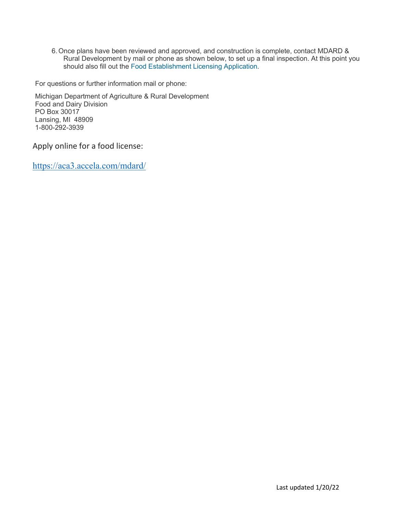6.Once plans have been reviewed and approved, and construction is complete, contact MDARD & Rural Development by mail or phone as shown below, to set up a final inspection. At this point you should also fill out the [Food Establishment Licensing Application.](https://www.michigan.gov/mdard/0,4610,7-125-1569_16958_16974-51722--,00.html)

For questions or further information mail or phone:

Michigan Department of Agriculture & Rural Development Food and Dairy Division PO Box 30017 Lansing, MI 48909 1-800-292-3939

Apply online for a food license:

<https://aca3.accela.com/mdard/>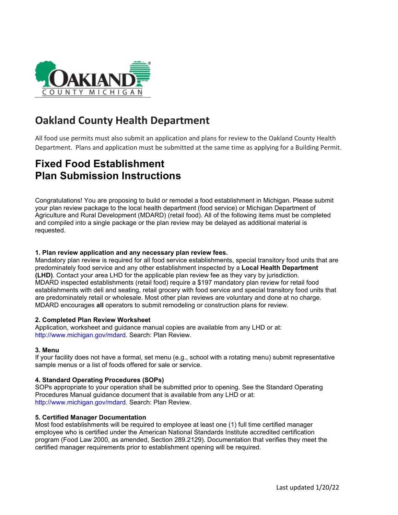

# **Oakland County Health Department**

All food use permits must also submit an application and plans for review to the Oakland County Health Department. Plans and application must be submitted at the same time as applying for a Building Permit.

# **Fixed Food Establishment Plan Submission Instructions**

Congratulations! You are proposing to build or remodel a food establishment in Michigan. Please submit your plan review package to the local health department (food service) or Michigan Department of Agriculture and Rural Development (MDARD) (retail food). All of the following items must be completed and compiled into a single package or the plan review may be delayed as additional material is requested.

#### **1. Plan review application and any necessary plan review fees.**

Mandatory plan review is required for all food service establishments, special transitory food units that are predominately food service and any other establishment inspected by a **Local Health Department (LHD)**. Contact your area LHD for the applicable plan review fee as they vary by jurisdiction. MDARD inspected establishments (retail food) require a \$197 mandatory plan review for retail food establishments with deli and seating, retail grocery with food service and special transitory food units that are predominately retail or wholesale. Most other plan reviews are voluntary and done at no charge. MDARD encourages **all** operators to submit remodeling or construction plans for review.

#### **2. Completed Plan Review Worksheet**

Application, worksheet and guidance manual copies are available from any LHD or at: http://www.michigan.gov/mdard. Search: Plan Review.

#### **3. Menu**

If your facility does not have a formal, set menu (e.g., school with a rotating menu) submit representative sample menus or a list of foods offered for sale or service.

#### **4. Standard Operating Procedures (SOPs)**

SOPs appropriate to your operation shall be submitted prior to opening. See the Standard Operating Procedures Manual guidance document that is available from any LHD or at: http://www.michigan.gov/mdard. Search: Plan Review.

#### **5. Certified Manager Documentation**

Most food establishments will be required to employee at least one (1) full time certified manager employee who is certified under the American National Standards Institute accredited certification program (Food Law 2000, as amended, Section 289.2129). Documentation that verifies they meet the certified manager requirements prior to establishment opening will be required.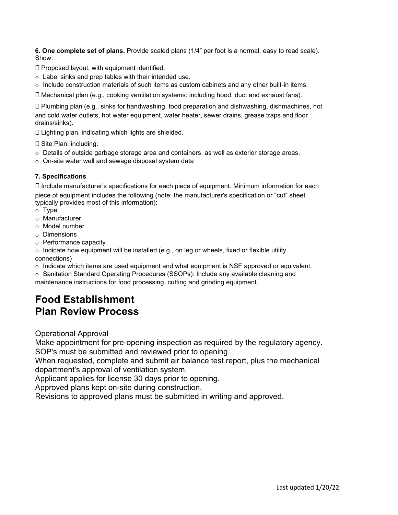**6. One complete set of plans.** Provide scaled plans (1/4" per foot is a normal, easy to read scale). Show:

- $\square$  Proposed layout, with equipment identified.
- o Label sinks and prep tables with their intended use.
- $\circ$  Include construction materials of such items as custom cabinets and any other built-in items.

Mechanical plan (e.g., cooking ventilation systems: including hood, duct and exhaust fans).

 Plumbing plan (e.g., sinks for handwashing, food preparation and dishwashing, dishmachines, hot and cold water outlets, hot water equipment, water heater, sewer drains, grease traps and floor drains/sinks).

 $\square$  Lighting plan, indicating which lights are shielded.

 $\square$  Site Plan, including:

- o Details of outside garbage storage area and containers, as well as exterior storage areas.
- o On-site water well and sewage disposal system data

#### **7. Specifications**

 $\Box$  Include manufacturer's specifications for each piece of equipment. Minimum information for each piece of equipment includes the following (note: the manufacturer's specification or "cut" sheet typically provides most of this information):

- o Type
- o Manufacturer
- o Model number
- o Dimensions
- o Performance capacity

 $\circ$  Indicate how equipment will be installed (e.g., on leg or wheels, fixed or flexible utility connections)

 $\circ$  Indicate which items are used equipment and what equipment is NSF approved or equivalent.

o Sanitation Standard Operating Procedures (SSOPs): Include any available cleaning and maintenance instructions for food processing, cutting and grinding equipment.

# **Food Establishment**

# **Plan Review Process**

Operational Approval

Make appointment for pre-opening inspection as required by the regulatory agency. SOP's must be submitted and reviewed prior to opening.

When requested, complete and submit air balance test report, plus the mechanical department's approval of ventilation system.

Applicant applies for license 30 days prior to opening.

Approved plans kept on-site during construction.

Revisions to approved plans must be submitted in writing and approved.